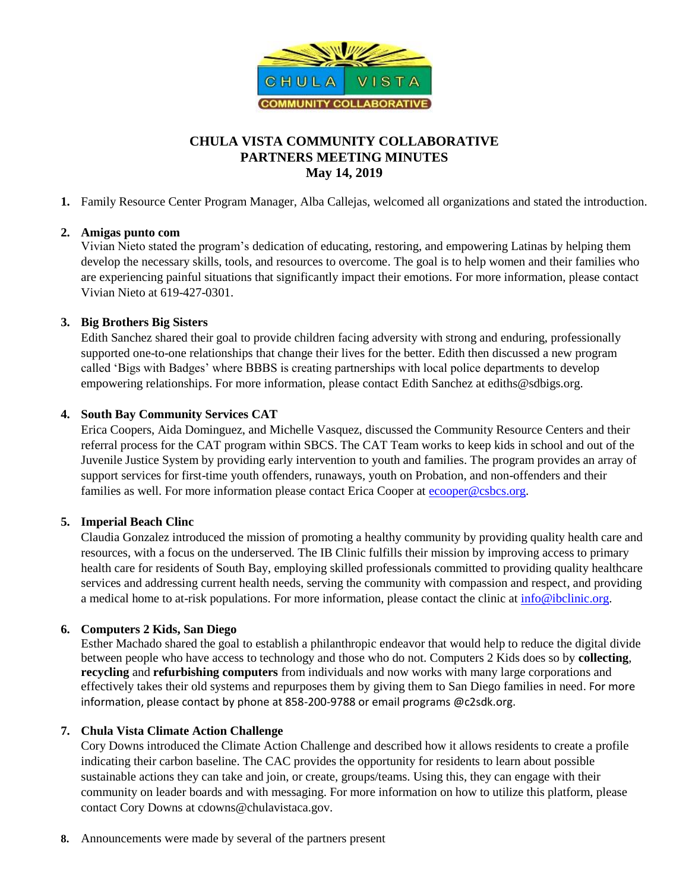

# **CHULA VISTA COMMUNITY COLLABORATIVE PARTNERS MEETING MINUTES May 14, 2019**

**1.** Family Resource Center Program Manager, Alba Callejas, welcomed all organizations and stated the introduction.

### **2. Amigas punto com**

Vivian Nieto stated the program's dedication of educating, restoring, and empowering Latinas by helping them develop the necessary skills, tools, and resources to overcome. The goal is to help women and their families who are experiencing painful situations that significantly impact their emotions. For more information, please contact Vivian Nieto at 619-427-0301.

### **3. Big Brothers Big Sisters**

Edith Sanchez shared their goal to provide children facing adversity with strong and enduring, professionally supported one-to-one relationships that change their lives for the better. Edith then discussed a new program called 'Bigs with Badges' where BBBS is creating partnerships with local police departments to develop empowering relationships. For more information, please contact Edith Sanchez at ediths@sdbigs.org.

## **4. South Bay Community Services CAT**

Erica Coopers, Aida Dominguez, and Michelle Vasquez, discussed the Community Resource Centers and their referral process for the CAT program within SBCS. The CAT Team works to keep kids in school and out of the Juvenile Justice System by providing early intervention to youth and families. The program provides an array of support services for first-time youth offenders, runaways, youth on Probation, and non-offenders and their families as well. For more information please contact Erica Cooper at [ecooper@csbcs.org.](mailto:ecooper@csbcs.org)

#### **5. Imperial Beach Clinc**

Claudia Gonzalez introduced the mission of promoting a healthy community by providing quality health care and resources, with a focus on the underserved. The IB Clinic fulfills their mission by improving access to primary health care for residents of South Bay, employing skilled professionals committed to providing quality healthcare services and addressing current health needs, serving the community with compassion and respect, and providing a medical home to at-risk populations. For more information, please contact the clinic at [info@ibclinic.org.](mailto:info@ibclinic.org)

## **6. Computers 2 Kids, San Diego**

Esther Machado shared the goal to establish a philanthropic endeavor that would help to reduce the digital divide between people who have access to technology and those who do not. Computers 2 Kids does so by **collecting**, **recycling** and **refurbishing computers** from individuals and now works with many large corporations and effectively takes their old systems and repurposes them by giving them to San Diego families in need. For more information, please contact by phone at 858-200-9788 or email programs @c2sdk.org.

#### **7. Chula Vista Climate Action Challenge**

Cory Downs introduced the Climate Action Challenge and described how it allows residents to create a profile indicating their carbon baseline. The CAC provides the opportunity for residents to learn about possible sustainable actions they can take and join, or create, groups/teams. Using this, they can engage with their community on leader boards and with messaging. For more information on how to utilize this platform, please contact Cory Downs at cdowns@chulavistaca.gov.

**8.** Announcements were made by several of the partners present